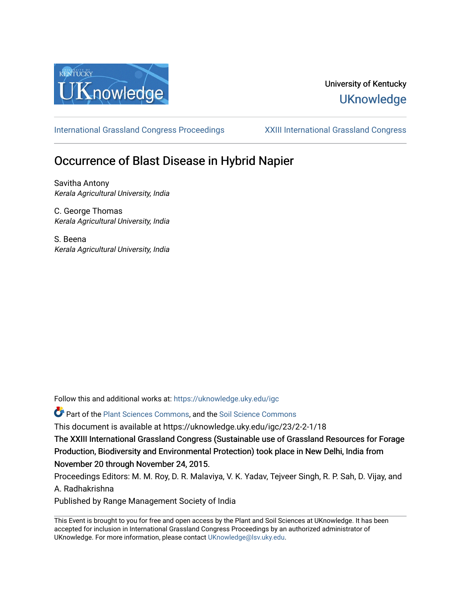

# University of Kentucky **UKnowledge**

[International Grassland Congress Proceedings](https://uknowledge.uky.edu/igc) [XXIII International Grassland Congress](https://uknowledge.uky.edu/igc/23) 

# Occurrence of Blast Disease in Hybrid Napier

Savitha Antony Kerala Agricultural University, India

C. George Thomas Kerala Agricultural University, India

S. Beena Kerala Agricultural University, India

Follow this and additional works at: [https://uknowledge.uky.edu/igc](https://uknowledge.uky.edu/igc?utm_source=uknowledge.uky.edu%2Figc%2F23%2F2-2-1%2F18&utm_medium=PDF&utm_campaign=PDFCoverPages) 

Part of the [Plant Sciences Commons](http://network.bepress.com/hgg/discipline/102?utm_source=uknowledge.uky.edu%2Figc%2F23%2F2-2-1%2F18&utm_medium=PDF&utm_campaign=PDFCoverPages), and the [Soil Science Commons](http://network.bepress.com/hgg/discipline/163?utm_source=uknowledge.uky.edu%2Figc%2F23%2F2-2-1%2F18&utm_medium=PDF&utm_campaign=PDFCoverPages) 

This document is available at https://uknowledge.uky.edu/igc/23/2-2-1/18

The XXIII International Grassland Congress (Sustainable use of Grassland Resources for Forage Production, Biodiversity and Environmental Protection) took place in New Delhi, India from November 20 through November 24, 2015.

Proceedings Editors: M. M. Roy, D. R. Malaviya, V. K. Yadav, Tejveer Singh, R. P. Sah, D. Vijay, and A. Radhakrishna

Published by Range Management Society of India

This Event is brought to you for free and open access by the Plant and Soil Sciences at UKnowledge. It has been accepted for inclusion in International Grassland Congress Proceedings by an authorized administrator of UKnowledge. For more information, please contact [UKnowledge@lsv.uky.edu](mailto:UKnowledge@lsv.uky.edu).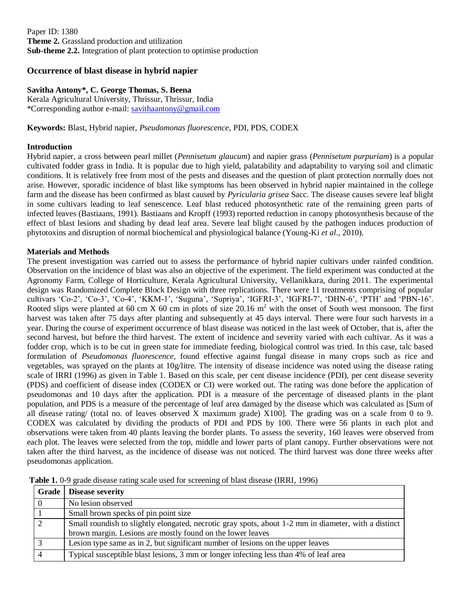Paper ID: 1380 **Theme 2.** Grassland production and utilization **Sub-theme 2.2.** Integration of plant protection to optimise production

# **Occurrence of blast disease in hybrid napier**

#### **Savitha Antony\*, C. George Thomas, S. Beena**

Kerala Agricultural University, Thrissur, Thrissur, India \*Corresponding author e-mail: [savithaantony@gmail.com](mailto:savithaantony@gmail.com)

**Keywords:** Blast, Hybrid napier, *Pseudomonas fluorescence*, PDI, PDS, CODEX

#### **Introduction**

Hybrid napier, a cross between pearl millet (*Pennisetum glaucum*) and napier grass (*Pennisetum purpuriam*) is a popular cultivated fodder grass in India. It is popular due to high yield, palatability and adaptability to varying soil and climatic conditions. It is relatively free from most of the pests and diseases and the question of plant protection normally does not arise. However, sporadic incidence of blast like symptoms has been observed in hybrid napier maintained in the college farm and the disease has been confirmed as blast caused by *Pyricularia grisea* Sacc. The disease causes severe leaf blight in some cultivars leading to leaf senescence. Leaf blast reduced photosynthetic rate of the remaining green parts of infected leaves (Bastiaans, 1991). Bastiaans and Kropff (1993) reported reduction in canopy photosynthesis because of the effect of blast lesions and shading by dead leaf area. Severe leaf blight caused by the pathogen induces production of phytotoxins and disruption of normal biochemical and physiological balance (Young-Ki *et al*., 2010).

#### **Materials and Methods**

The present investigation was carried out to assess the performance of hybrid napier cultivars under rainfed condition. Observation on the incidence of blast was also an objective of the experiment. The field experiment was conducted at the Agronomy Farm, College of Horticulture, Kerala Agricultural University, Vellanikkara, during 2011. The experimental design was Randomized Complete Block Design with three replications. There were 11 treatments comprising of popular cultivars 'Co-2', 'Co-3', 'Co-4', 'KKM-1', 'Suguna', 'Supriya', 'IGFRI-3', 'IGFRI-7', 'DHN-6', 'PTH' and 'PBN-16'. Rooted slips were planted at 60 cm X 60 cm in plots of size 20.16 m<sup>2</sup> with the onset of South west monsoon. The first harvest was taken after 75 days after planting and subsequently at 45 days interval. There were four such harvests in a year. During the course of experiment occurrence of blast disease was noticed in the last week of October, that is, after the second harvest, but before the third harvest. The extent of incidence and severity varied with each cultivar. As it was a fodder crop, which is to be cut in green state for immediate feeding, biological control was tried. In this case, talc based formulation of *Pseudomonas fluorescence*, found effective against fungal disease in many crops such as rice and vegetables, was sprayed on the plants at 10g/litre. The intensity of disease incidence was noted using the disease rating scale of IRRI (1996) as given in Table 1. Based on this scale, per cent disease incidence (PDI), per cent disease severity (PDS) and coefficient of disease index (CODEX or CI) were worked out. The rating was done before the application of pseudomonas and 10 days after the application. PDI is a measure of the percentage of diseased plants in the plant population, and PDS is a measure of the percentage of leaf area damaged by the disease which was calculated as [Sum of all disease rating/ (total no. of leaves observed X maximum grade) X100]. The grading was on a scale from 0 to 9. CODEX was calculated by dividing the products of PDI and PDS by 100. There were 56 plants in each plot and observations were taken from 40 plants leaving the border plants. To assess the severity, 160 leaves were observed from each plot. The leaves were selected from the top, middle and lower parts of plant canopy. Further observations were not taken after the third harvest, as the incidence of disease was not noticed. The third harvest was done three weeks after pseudomonas application.

| Grade          | <b>Disease severity</b>                                                                              |
|----------------|------------------------------------------------------------------------------------------------------|
| $\overline{0}$ | No lesion observed                                                                                   |
|                | Small brown specks of pin point size                                                                 |
| $\mathcal{D}$  | Small roundish to slightly elongated, necrotic gray spots, about 1-2 mm in diameter, with a distinct |
|                | brown margin. Lesions are mostly found on the lower leaves                                           |
| 3              | Lesion type same as in 2, but significant number of lesions on the upper leaves                      |
|                | Typical susceptible blast lesions, 3 mm or longer infecting less than 4% of leaf area                |

**Table 1.** 0-9 grade disease rating scale used for screening of blast disease (IRRI, 1996)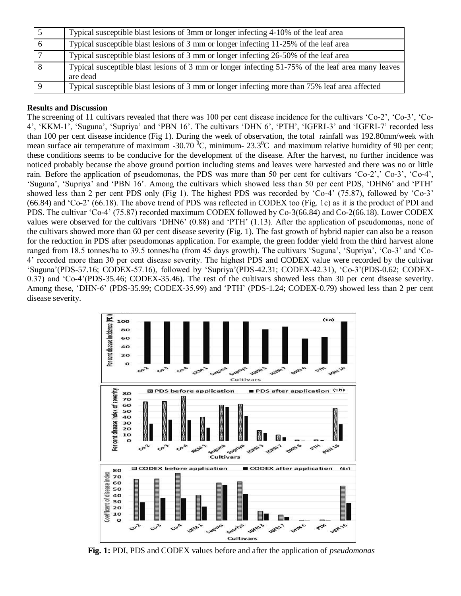|   | Typical susceptible blast lesions of 3mm or longer infecting 4-10% of the leaf area                           |
|---|---------------------------------------------------------------------------------------------------------------|
| 6 | Typical susceptible blast lesions of 3 mm or longer infecting 11-25% of the leaf area                         |
|   | Typical susceptible blast lesions of 3 mm or longer infecting 26-50% of the leaf area                         |
| 8 | Typical susceptible blast lesions of 3 mm or longer infecting 51-75% of the leaf area many leaves<br>are dead |
|   | Typical susceptible blast lesions of 3 mm or longer infecting more than 75% leaf area affected                |

## **Results and Discussion**

The screening of 11 cultivars revealed that there was 100 per cent disease incidence for the cultivars 'Co-2', 'Co-3', 'Co-4', 'KKM-1', 'Suguna', 'Supriya' and 'PBN 16'. The cultivars 'DHN 6', 'PTH', 'IGFRI-3' and 'IGFRI-7' recorded less than 100 per cent disease incidence (Fig 1). During the week of observation, the total rainfall was 192.80mm/week with mean surface air temperature of maximum -30.70  $^{\circ}$ C, minimum- 23.3 $^{\circ}$ C and maximum relative humidity of 90 per cent; these conditions seems to be conducive for the development of the disease. After the harvest, no further incidence was noticed probably because the above ground portion including stems and leaves were harvested and there was no or little rain. Before the application of pseudomonas, the PDS was more than 50 per cent for cultivars 'Co-2',' Co-3', 'Co-4', 'Suguna', 'Supriya' and 'PBN 16'. Among the cultivars which showed less than 50 per cent PDS, 'DHN6' and 'PTH' showed less than 2 per cent PDS only (Fig 1). The highest PDS was recorded by 'Co-4' (75.87), followed by 'Co-3' (66.84) and 'Co-2' (66.18). The above trend of PDS was reflected in CODEX too (Fig. 1c) as it is the product of PDI and PDS. The cultivar 'Co-4' (75.87) recorded maximum CODEX followed by Co-3(66.84) and Co-2(66.18). Lower CODEX values were observed for the cultivars 'DHN6' (0.88) and 'PTH' (1.13). After the application of pseudomonas, none of the cultivars showed more than 60 per cent disease severity (Fig. 1). The fast growth of hybrid napier can also be a reason for the reduction in PDS after pseudomonas application. For example, the green fodder yield from the third harvest alone ranged from 18.5 tonnes/ha to 39.5 tonnes/ha (from 45 days growth). The cultivars 'Suguna', 'Supriya', 'Co-3' and 'Co-4' recorded more than 30 per cent disease severity. The highest PDS and CODEX value were recorded by the cultivar 'Suguna'(PDS-57.16; CODEX-57.16), followed by 'Supriya'(PDS-42.31; CODEX-42.31), 'Co-3'(PDS-0.62; CODEX-0.37) and 'Co-4'(PDS-35.46; CODEX-35.46). The rest of the cultivars showed less than 30 per cent disease severity. Among these, 'DHN-6' (PDS-35.99; CODEX-35.99) and 'PTH' (PDS-1.24; CODEX-0.79) showed less than 2 per cent disease severity.



**Fig. 1:** PDI, PDS and CODEX values before and after the application of *pseudomonas*